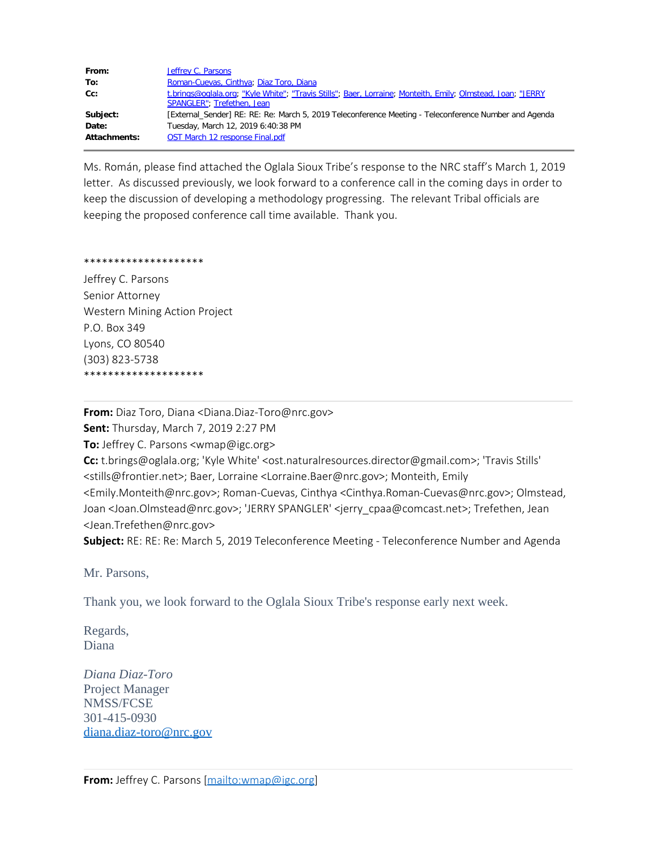| From:        | Jeffrey C. Parsons                                                                                                                        |
|--------------|-------------------------------------------------------------------------------------------------------------------------------------------|
| To:          | Roman-Cuevas, Cinthya; Diaz Toro, Diana                                                                                                   |
| $Cc$ :       | t.brings@oglala.org; "Kyle White"; "Travis Stills"; Baer, Lorraine; Monteith, Emily; Olmstead, Joan; "JERRY<br>SPANGLER": Trefethen, Jean |
| Subject:     | [External Sender] RE: RE: Re: March 5, 2019 Teleconference Meeting - Teleconference Number and Agenda                                     |
| Date:        | Tuesday, March 12, 2019 6:40:38 PM                                                                                                        |
| Attachments: | OST March 12 response Final.pdf                                                                                                           |

Ms. Román, please find attached the Oglala Sioux Tribe's response to the NRC staff's March 1, 2019 letter. As discussed previously, we look forward to a conference call in the coming days in order to keep the discussion of developing a methodology progressing. The relevant Tribal officials are keeping the proposed conference call time available. Thank you.

## \*\*\*\*\*\*\*\*\*\*\*\*\*\*\*\*\*\*\*\*

Jeffrey C. Parsons Senior Attorney Western Mining Action Project P.O. Box 349 Lyons, CO 80540 (303) 823-5738 \*\*\*\*\*\*\*\*\*\*\*\*\*\*\*\*\*\*\*\*

**From:** Diaz Toro, Diana <Diana.Diaz-Toro@nrc.gov> **Sent:** Thursday, March 7, 2019 2:27 PM **To:** Jeffrey C. Parsons <wmap@igc.org> **Cc:** t.brings@oglala.org; 'Kyle White' <ost.naturalresources.director@gmail.com>; 'Travis Stills' <stills@frontier.net>; Baer, Lorraine <Lorraine.Baer@nrc.gov>; Monteith, Emily <Emily.Monteith@nrc.gov>; Roman-Cuevas, Cinthya <Cinthya.Roman-Cuevas@nrc.gov>; Olmstead, Joan <Joan.Olmstead@nrc.gov>; 'JERRY SPANGLER' <jerry\_cpaa@comcast.net>; Trefethen, Jean <Jean.Trefethen@nrc.gov> **Subject:** RE: RE: Re: March 5, 2019 Teleconference Meeting - Teleconference Number and Agenda

Mr. Parsons,

Thank you, we look forward to the Oglala Sioux Tribe's response early next week.

Regards, Diana

*Diana Diaz-Toro* Project Manager NMSS/FCSE 301-415-0930 [diana.diaz-toro@nrc.gov](mailto:diana.diaz-toro@nrc.gov)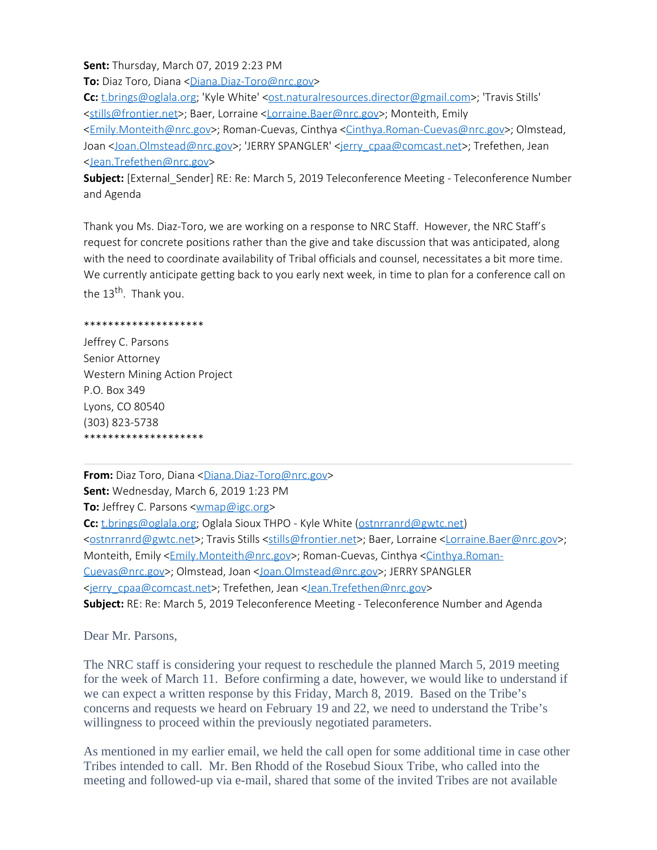**Sent:** Thursday, March 07, 2019 2:23 PM

**To:** Diaz Toro, Diana [<Diana.Diaz-Toro@nrc.gov](mailto:Diana.Diaz-Toro@nrc.gov)>

**Cc:** [t.brings@oglala.org;](mailto:t.brings@oglala.org) 'Kyle White' [<ost.naturalresources.director@gmail.com](mailto:ost.naturalresources.director@gmail.com)>; 'Travis Stills' [<stills@frontier.net](mailto:stills@frontier.net)>; Baer, Lorraine [<Lorraine.Baer@nrc.gov](mailto:Lorraine.Baer@nrc.gov)>; Monteith, Emily [<Emily.Monteith@nrc.gov](mailto:Emily.Monteith@nrc.gov)>; Roman-Cuevas, Cinthya <[Cinthya.Roman-Cuevas@nrc.gov](mailto:Cinthya.Roman-Cuevas@nrc.gov)>; Olmstead, Joan <[Joan.Olmstead@nrc.gov>](mailto:Joan.Olmstead@nrc.gov); 'JERRY SPANGLER' [<jerry\\_cpaa@comcast.net](mailto:jerry_cpaa@comcast.net)>; Trefethen, Jean [<Jean.Trefethen@nrc.gov](mailto:Jean.Trefethen@nrc.gov)>

**Subject:** [External\_Sender] RE: Re: March 5, 2019 Teleconference Meeting - Teleconference Number and Agenda

Thank you Ms. Diaz-Toro, we are working on a response to NRC Staff. However, the NRC Staff's request for concrete positions rather than the give and take discussion that was anticipated, along with the need to coordinate availability of Tribal officials and counsel, necessitates a bit more time. We currently anticipate getting back to you early next week, in time to plan for a conference call on the  $13<sup>th</sup>$ . Thank you.

## \*\*\*\*\*\*\*\*\*\*\*\*\*\*\*\*\*\*\*\*

Jeffrey C. Parsons Senior Attorney Western Mining Action Project P.O. Box 349 Lyons, CO 80540 (303) 823-5738 \*\*\*\*\*\*\*\*\*\*\*\*\*\*\*\*\*\*\*\*

**From:** Diaz Toro, Diana <[Diana.Diaz-Toro@nrc.gov](mailto:Diana.Diaz-Toro@nrc.gov)> **Sent:** Wednesday, March 6, 2019 1:23 PM **To:** Jeffrey C. Parsons <**wmap@igc.org> Cc:** [t.brings@oglala.org;](mailto:t.brings@oglala.org) Oglala Sioux THPO - Kyle White [\(ostnrranrd@gwtc.net](mailto:ostnrranrd@gwtc.net)) [<ostnrranrd@gwtc.net](mailto:ostnrranrd@gwtc.net)>; Travis Stills [<stills@frontier.net](mailto:stills@frontier.net)>; Baer, Lorraine [<Lorraine.Baer@nrc.gov](mailto:Lorraine.Baer@nrc.gov)>; Monteith, Emily [<Emily.Monteith@nrc.gov](mailto:Emily.Monteith@nrc.gov)>; Roman-Cuevas, Cinthya [<Cinthya.Roman-](mailto:Cinthya.Roman-Cuevas@nrc.gov)[Cuevas@nrc.gov](mailto:Cinthya.Roman-Cuevas@nrc.gov)>; Olmstead, Joan <[Joan.Olmstead@nrc.gov](mailto:Joan.Olmstead@nrc.gov)>; JERRY SPANGLER [<jerry\\_cpaa@comcast.net](mailto:jerry_cpaa@comcast.net)>; Trefethen, Jean [<Jean.Trefethen@nrc.gov](mailto:Jean.Trefethen@nrc.gov)> **Subject:** RE: Re: March 5, 2019 Teleconference Meeting - Teleconference Number and Agenda

Dear Mr. Parsons,

The NRC staff is considering your request to reschedule the planned March 5, 2019 meeting for the week of March 11. Before confirming a date, however, we would like to understand if we can expect a written response by this Friday, March 8, 2019. Based on the Tribe's concerns and requests we heard on February 19 and 22, we need to understand the Tribe's willingness to proceed within the previously negotiated parameters.

As mentioned in my earlier email, we held the call open for some additional time in case other Tribes intended to call. Mr. Ben Rhodd of the Rosebud Sioux Tribe, who called into the meeting and followed-up via e-mail, shared that some of the invited Tribes are not available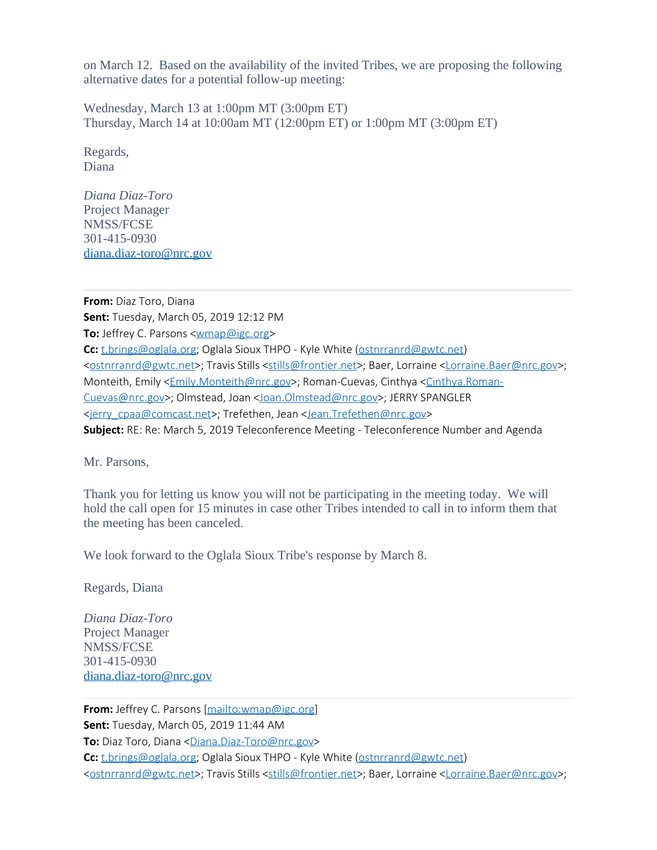on March 12. Based on the availability of the invited Tribes, we are proposing the following alternative dates for a potential follow-up meeting:

Wednesday, March 13 at 1:00pm MT (3:00pm ET) Thursday, March 14 at 10:00am MT (12:00pm ET) or 1:00pm MT (3:00pm ET)

Regards, Diana

*Diana Diaz-Toro* Project Manager NMSS/FCSE 301-415-0930 [diana.diaz-toro@nrc.gov](mailto:diana.diaz-toro@nrc.gov)

**From:** Diaz Toro, Diana **Sent:** Tuesday, March 05, 2019 12:12 PM **To:** Jeffrey C. Parsons <**wmap@igc.org> Cc:** [t.brings@oglala.org;](mailto:t.brings@oglala.org) Oglala Sioux THPO - Kyle White [\(ostnrranrd@gwtc.net](mailto:ostnrranrd@gwtc.net)) [<ostnrranrd@gwtc.net](mailto:ostnrranrd@gwtc.net)>; Travis Stills [<stills@frontier.net](mailto:stills@frontier.net)>; Baer, Lorraine [<Lorraine.Baer@nrc.gov](mailto:Lorraine.Baer@nrc.gov)>; Monteith, Emily [<Emily.Monteith@nrc.gov](mailto:Emily.Monteith@nrc.gov)>; Roman-Cuevas, Cinthya [<Cinthya.Roman-](mailto:Cinthya.Roman-Cuevas@nrc.gov)[Cuevas@nrc.gov](mailto:Cinthya.Roman-Cuevas@nrc.gov)>; Olmstead, Joan <[Joan.Olmstead@nrc.gov](mailto:Joan.Olmstead@nrc.gov)>; JERRY SPANGLER [<jerry\\_cpaa@comcast.net](mailto:jerry_cpaa@comcast.net)>; Trefethen, Jean [<Jean.Trefethen@nrc.gov](mailto:Jean.Trefethen@nrc.gov)> **Subject:** RE: Re: March 5, 2019 Teleconference Meeting - Teleconference Number and Agenda

Mr. Parsons,

Thank you for letting us know you will not be participating in the meeting today. We will hold the call open for 15 minutes in case other Tribes intended to call in to inform them that the meeting has been canceled.

We look forward to the Oglala Sioux Tribe's response by March 8.

Regards, Diana

*Diana Diaz-Toro* Project Manager NMSS/FCSE 301-415-0930 [diana.diaz-toro@nrc.gov](mailto:diana.diaz-toro@nrc.gov)

**From:** Jeffrey C. Parsons  $[\text{mailto:wmap@ige.org}]$ **Sent:** Tuesday, March 05, 2019 11:44 AM **To:** Diaz Toro, Diana [<Diana.Diaz-Toro@nrc.gov](mailto:Diana.Diaz-Toro@nrc.gov)> **Cc:** [t.brings@oglala.org;](mailto:t.brings@oglala.org) Oglala Sioux THPO - Kyle White [\(ostnrranrd@gwtc.net](mailto:ostnrranrd@gwtc.net)) [<ostnrranrd@gwtc.net](mailto:ostnrranrd@gwtc.net)>; Travis Stills [<stills@frontier.net](mailto:stills@frontier.net)>; Baer, Lorraine [<Lorraine.Baer@nrc.gov](mailto:Lorraine.Baer@nrc.gov)>;